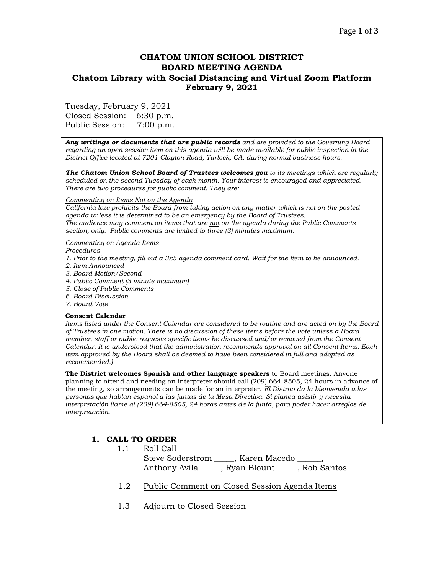## **CHATOM UNION SCHOOL DISTRICT BOARD MEETING AGENDA Chatom Library with Social Distancing and Virtual Zoom Platform February 9, 2021**

Tuesday, February 9, 2021

Closed Session: 6:30 p.m. Public Session: 7:00 p.m.

*Any writings or documents that are public records and are provided to the Governing Board regarding an open session item on this agenda will be made available for public inspection in the District Office located at 7201 Clayton Road, Turlock, CA, during normal business hours.*

*The Chatom Union School Board of Trustees welcomes you to its meetings which are regularly scheduled on the second Tuesday of each month. Your interest is encouraged and appreciated. There are two procedures for public comment. They are:*

#### *Commenting on Items Not on the Agenda*

*California law prohibits the Board from taking action on any matter which is not on the posted agenda unless it is determined to be an emergency by the Board of Trustees. The audience may comment on items that are not on the agenda during the Public Comments section, only. Public comments are limited to three (3) minutes maximum.*

#### *Commenting on Agenda Items*

*Procedures* 

- *1. Prior to the meeting, fill out a 3x5 agenda comment card. Wait for the Item to be announced.*
- *2. Item Announced*
- *3. Board Motion/Second*
- *4. Public Comment (3 minute maximum)*
- *5. Close of Public Comments*
- *6. Board Discussion*
- *7. Board Vote*

#### **Consent Calendar**

*Items listed under the Consent Calendar are considered to be routine and are acted on by the Board of Trustees in one motion. There is no discussion of these items before the vote unless a Board member, staff or public requests specific items be discussed and/or removed from the Consent Calendar. It is understood that the administration recommends approval on all Consent Items. Each item approved by the Board shall be deemed to have been considered in full and adopted as recommended.)*

**The District welcomes Spanish and other language speakers** to Board meetings. Anyone planning to attend and needing an interpreter should call (209) 664-8505, 24 hours in advance of the meeting, so arrangements can be made for an interpreter. *El Distrito da la bienvenida a las personas que hablan español a las juntas de la Mesa Directiva. Si planea asistir y necesita interpretación llame al (209) 664-8505, 24 horas antes de la junta, para poder hacer arreglos de interpretación.*

## **1. CALL TO ORDER**

- 1.1 Roll Call Steve Soderstrom \_\_\_\_\_, Karen Macedo \_ Anthony Avila \_\_\_\_\_, Ryan Blount \_\_\_\_\_\_, Rob Santos
- 1.2 Public Comment on Closed Session Agenda Items
- 1.3 Adjourn to Closed Session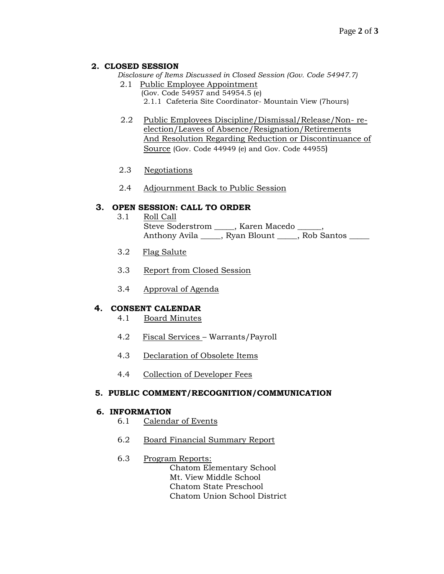## **2. CLOSED SESSION**

*Disclosure of Items Discussed in Closed Session (Gov. Code 54947.7)*

- 2.1 Public Employee Appointment
	- (Gov. Code 54957 and 54954.5 (e)
	- 2.1.1 Cafeteria Site Coordinator- Mountain View (7hours)
- 2.2 Public Employees Discipline/Dismissal/Release/Non- reelection/Leaves of Absence/Resignation/Retirements And Resolution Regarding Reduction or Discontinuance of Source (Gov. Code 44949 (e) and Gov. Code 44955)
- 2.3 Negotiations
- 2.4 Adjournment Back to Public Session

## **3. OPEN SESSION: CALL TO ORDER**

- 3.1 Roll Call Steve Soderstrom \_\_\_\_\_, Karen Macedo \_\_\_\_\_\_, Anthony Avila \_\_\_\_\_, Ryan Blount \_\_\_\_\_, Rob Santos \_\_\_\_\_
- 3.2 Flag Salute
- 3.3 Report from Closed Session
- 3.4 Approval of Agenda

## **4. CONSENT CALENDAR**

- 4.1 Board Minutes
- 4.2 Fiscal Services Warrants/Payroll
- 4.3 Declaration of Obsolete Items
- 4.4 Collection of Developer Fees

#### **5. PUBLIC COMMENT/RECOGNITION/COMMUNICATION**

#### **6. INFORMATION**

- 6.1 Calendar of Events
- 6.2 Board Financial Summary Report
- 6.3 Program Reports:

Chatom Elementary School Mt. View Middle School Chatom State Preschool Chatom Union School District